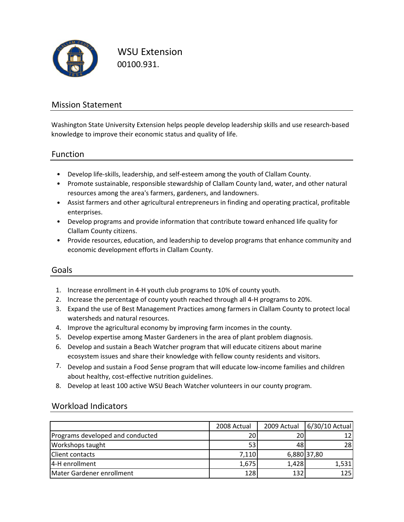

WSU Extension 00100.931.

### Mission Statement

Washington State University Extension helps people develop leadership skills and use research‐based knowledge to improve their economic status and quality of life.

### Function

- Develop life‐skills, leadership, and self‐esteem among the youth of Clallam County.
- Promote sustainable, responsible stewardship of Clallam County land, water, and other natural resources among the area's farmers, gardeners, and landowners.
- Assist farmers and other agricultural entrepreneurs in finding and operating practical, profitable enterprises.
- Develop programs and provide information that contribute toward enhanced life quality for Clallam County citizens.
- Provide resources, education, and leadership to develop programs that enhance community and economic development efforts in Clallam County.

### Goals

- 1. Increase enrollment in 4‐H youth club programs to 10% of county youth.
- 2. Increase the percentage of county youth reached through all 4‐H programs to 20%.
- 3. Expand the use of Best Management Practices among farmers in Clallam County to protect local watersheds and natural resources.
- 4. Improve the agricultural economy by improving farm incomes in the county.
- 5. Develop expertise among Master Gardeners in the area of plant problem diagnosis.
- 6. Develop and sustain a Beach Watcher program that will educate citizens about marine ecosystem issues and share their knowledge with fellow county residents and visitors.
- 7. Develop and sustain a Food \$ense program that will educate low-income families and children about healthy, cost-effective nutrition guidelines.
- 8. Develop at least 100 active WSU Beach Watcher volunteers in our county program.

#### Workload Indicators

|                                  | 2008 Actual     | 2009 Actual | 6/30/10 Actual |
|----------------------------------|-----------------|-------------|----------------|
| Programs developed and conducted | 20              | 20          |                |
| Workshops taught                 | 53 <sup>1</sup> | 48          | 28             |
| <b>Client contacts</b>           | 7,110           |             | 6,880 37,80    |
| 4-H enrollment                   | 1,675           | 1,428       | 1,531          |
| Mater Gardener enrollment        | 128             | 132         | 125            |